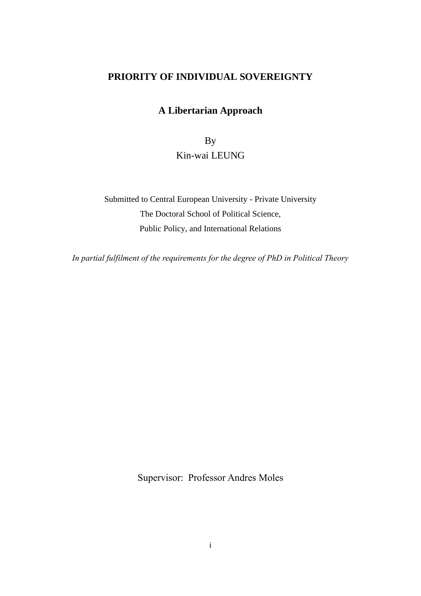### **PRIORITY OF INDIVIDUAL SOVEREIGNTY**

### **A Libertarian Approach**

By Kin-wai LEUNG

Submitted to Central European University - Private University The Doctoral School of Political Science, Public Policy, and International Relations

*In partial fulfilment of the requirements for the degree of PhD in Political Theory*

Supervisor: Professor Andres Moles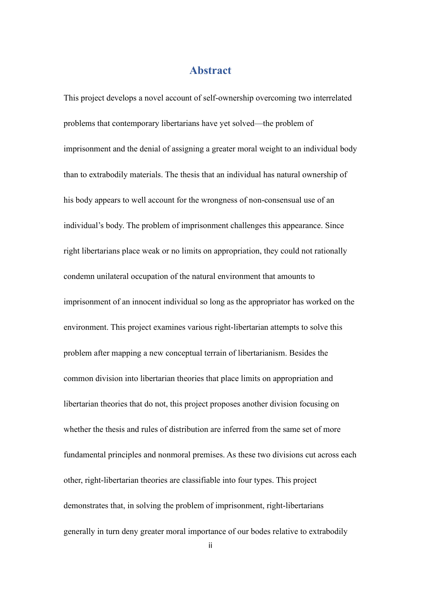#### **Abstract**

<span id="page-1-0"></span>This project develops a novel account of self-ownership overcoming two interrelated problems that contemporary libertarians have yet solved—the problem of imprisonment and the denial of assigning a greater moral weight to an individual body than to extrabodily materials. The thesis that an individual has natural ownership of his body appears to well account for the wrongness of non-consensual use of an individual's body. The problem of imprisonment challenges this appearance. Since right libertarians place weak or no limits on appropriation, they could not rationally condemn unilateral occupation of the natural environment that amounts to imprisonment of an innocent individual so long as the appropriator has worked on the environment. This project examines various right-libertarian attempts to solve this problem after mapping a new conceptual terrain of libertarianism. Besides the common division into libertarian theories that place limits on appropriation and libertarian theories that do not, this project proposes another division focusing on whether the thesis and rules of distribution are inferred from the same set of more fundamental principles and nonmoral premises. As these two divisions cut across each other, right-libertarian theories are classifiable into four types. This project demonstrates that, in solving the problem of imprisonment, right-libertarians generally in turn deny greater moral importance of our bodes relative to extrabodily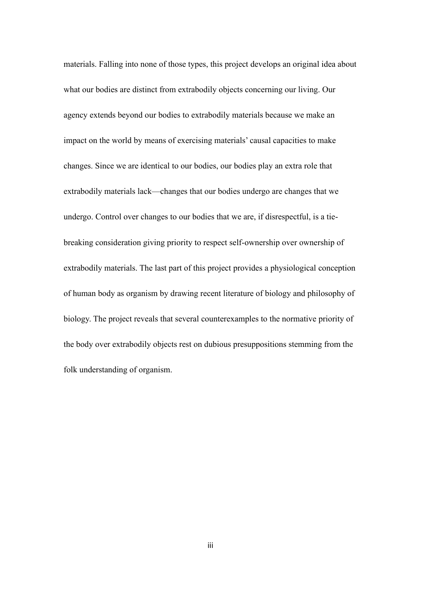materials. Falling into none of those types, this project develops an original idea about what our bodies are distinct from extrabodily objects concerning our living. Our agency extends beyond our bodies to extrabodily materials because we make an impact on the world by means of exercising materials' causal capacities to make changes. Since we are identical to our bodies, our bodies play an extra role that extrabodily materials lack—changes that our bodies undergo are changes that we undergo. Control over changes to our bodies that we are, if disrespectful, is a tiebreaking consideration giving priority to respect self-ownership over ownership of extrabodily materials. The last part of this project provides a physiological conception of human body as organism by drawing recent literature of biology and philosophy of biology. The project reveals that several counterexamples to the normative priority of the body over extrabodily objects rest on dubious presuppositions stemming from the folk understanding of organism.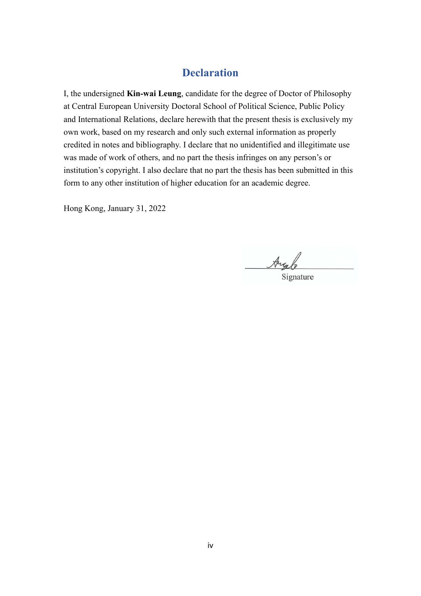## **Declaration**

<span id="page-3-0"></span>I, the undersigned **Kin-wai Leung**, candidate for the degree of Doctor of Philosophy at Central European University Doctoral School of Political Science, Public Policy and International Relations, declare herewith that the present thesis is exclusively my own work, based on my research and only such external information as properly credited in notes and bibliography. I declare that no unidentified and illegitimate use was made of work of others, and no part the thesis infringes on any person's or institution's copyright. I also declare that no part the thesis has been submitted in this form to any other institution of higher education for an academic degree.

Hong Kong, January 31, 2022

Aug

Signature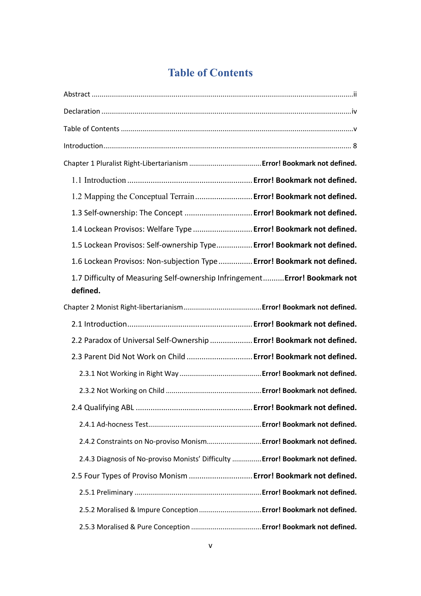# **Table of Contents**

<span id="page-4-0"></span>

| 1.2 Mapping the Conceptual Terrain  Error! Bookmark not defined.                        |  |
|-----------------------------------------------------------------------------------------|--|
| 1.3 Self-ownership: The Concept  Error! Bookmark not defined.                           |  |
| 1.4 Lockean Provisos: Welfare Type  Error! Bookmark not defined.                        |  |
| 1.5 Lockean Provisos: Self-ownership Type Error! Bookmark not defined.                  |  |
| 1.6 Lockean Provisos: Non-subjection Type Error! Bookmark not defined.                  |  |
| 1.7 Difficulty of Measuring Self-ownership Infringement Error! Bookmark not<br>defined. |  |
|                                                                                         |  |
|                                                                                         |  |
| 2.2 Paradox of Universal Self-Ownership  Error! Bookmark not defined.                   |  |
| 2.3 Parent Did Not Work on Child  Error! Bookmark not defined.                          |  |
|                                                                                         |  |
|                                                                                         |  |
|                                                                                         |  |
|                                                                                         |  |
| 2.4.2 Constraints on No-proviso Monism Error! Bookmark not defined.                     |  |
| 2.4.3 Diagnosis of No-proviso Monists' Difficulty  Error! Bookmark not defined.         |  |
| 2.5 Four Types of Proviso Monism  Error! Bookmark not defined.                          |  |
|                                                                                         |  |
| 2.5.2 Moralised & Impure Conception  Error! Bookmark not defined.                       |  |
|                                                                                         |  |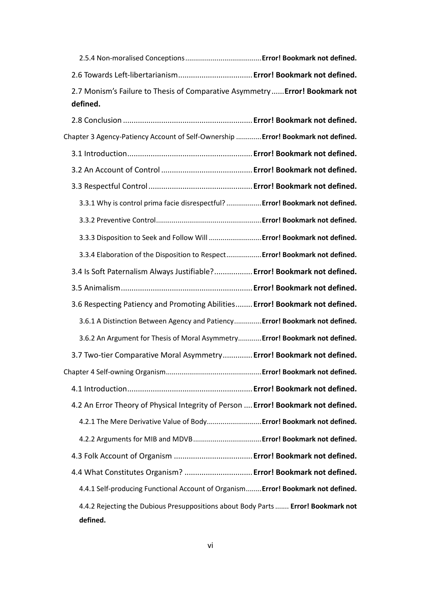| 2.6 Towards Left-libertarianism Error! Bookmark not defined.                 |  |
|------------------------------------------------------------------------------|--|
| 2.7 Monism's Failure to Thesis of Comparative Asymmetry  Error! Bookmark not |  |
| defined.                                                                     |  |

| Chapter 3 Agency-Patiency Account of Self-Ownership  Error! Bookmark not defined. |  |
|-----------------------------------------------------------------------------------|--|
|                                                                                   |  |
|                                                                                   |  |
|                                                                                   |  |
| 3.3.1 Why is control prima facie disrespectful?  Error! Bookmark not defined.     |  |
|                                                                                   |  |
| 3.3.3 Disposition to Seek and Follow Will  Error! Bookmark not defined.           |  |
| 3.3.4 Elaboration of the Disposition to Respect Error! Bookmark not defined.      |  |
| 3.4 Is Soft Paternalism Always Justifiable? Error! Bookmark not defined.          |  |
|                                                                                   |  |
| 3.6 Respecting Patiency and Promoting Abilities Error! Bookmark not defined.      |  |
| 3.6.1 A Distinction Between Agency and Patiency Error! Bookmark not defined.      |  |
| 3.6.2 An Argument for Thesis of Moral Asymmetry Error! Bookmark not defined.      |  |
| 3.7 Two-tier Comparative Moral Asymmetry Error! Bookmark not defined.             |  |
|                                                                                   |  |
|                                                                                   |  |
| 4.2 An Error Theory of Physical Integrity of Person  Error! Bookmark not defined. |  |
| 4.2.1 The Mere Derivative Value of Body Error! Bookmark not defined.              |  |
| 4.2.2 Arguments for MIB and MDVB Error! Bookmark not defined.                     |  |
|                                                                                   |  |
| 4.4 What Constitutes Organism?  Error! Bookmark not defined.                      |  |
| 4.4.1 Self-producing Functional Account of Organism Error! Bookmark not defined.  |  |
| 4.4.2 Rejecting the Dubious Presuppositions about Body Parts  Error! Bookmark not |  |
| defined.                                                                          |  |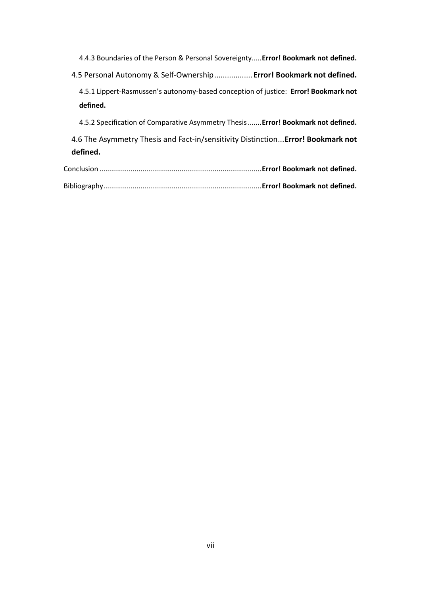4.4.3 Boundaries of the Person & Personal Sovereignty.....**Error! Bookmark not defined.** 4.5 Personal Autonomy & Self-Ownership..................**Error! Bookmark not defined.** 4.5.1 Lippert-Rasmussen's autonomy-based conception of justice: **Error! Bookmark not defined.** 4.5.2 Specification of Comparative Asymmetry Thesis.......**Error! Bookmark not defined.** 4.6 The Asymmetry Thesis and Fact-in/sensitivity Distinction...**Error! Bookmark not defined.** Conclusion ...................................................................................**Error! Bookmark not defined.**

| . Conclusion ………………………………………………………………………Error! Bookmark not defined. |  |
|----------------------------------------------------------------------|--|
|                                                                      |  |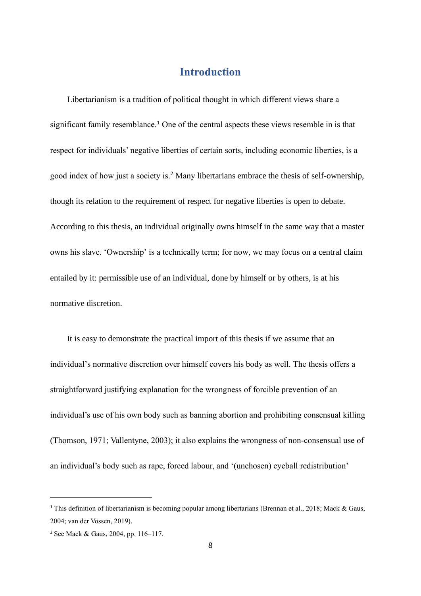# **Introduction**

<span id="page-7-0"></span>Libertarianism is a tradition of political thought in which different views share a significant family resemblance.<sup>1</sup> One of the central aspects these views resemble in is that respect for individuals' negative liberties of certain sorts, including economic liberties, is a good index of how just a society is.<sup>2</sup> Many libertarians embrace the thesis of self-ownership, though its relation to the requirement of respect for negative liberties is open to debate. According to this thesis, an individual originally owns himself in the same way that a master owns his slave. 'Ownership' is a technically term; for now, we may focus on a central claim entailed by it: permissible use of an individual, done by himself or by others, is at his normative discretion.

It is easy to demonstrate the practical import of this thesis if we assume that an individual's normative discretion over himself covers his body as well. The thesis offers a straightforward justifying explanation for the wrongness of forcible prevention of an individual's use of his own body such as banning abortion and prohibiting consensual killing (Thomson, 1971; Vallentyne, 2003); it also explains the wrongness of non-consensual use of an individual's body such as rape, forced labour, and '(unchosen) eyeball redistribution'

<sup>1</sup> This definition of libertarianism is becoming popular among libertarians (Brennan et al., 2018; Mack & Gaus, 2004; van der Vossen, 2019).

<sup>2</sup> See Mack & Gaus, 2004, pp. 116–117.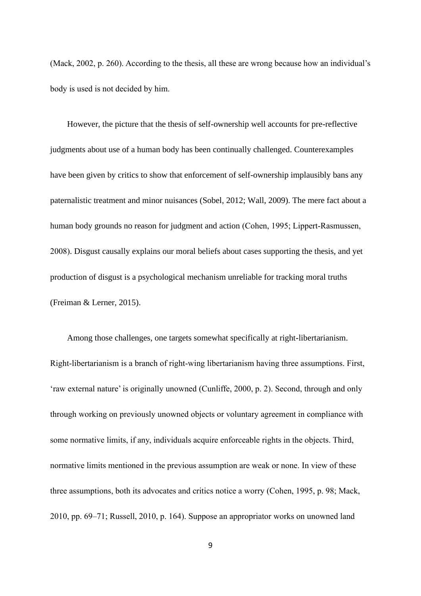(Mack, 2002, p. 260). According to the thesis, all these are wrong because how an individual's body is used is not decided by him.

However, the picture that the thesis of self-ownership well accounts for pre-reflective judgments about use of a human body has been continually challenged. Counterexamples have been given by critics to show that enforcement of self-ownership implausibly bans any paternalistic treatment and minor nuisances (Sobel, 2012; Wall, 2009). The mere fact about a human body grounds no reason for judgment and action (Cohen, 1995; Lippert-Rasmussen, 2008). Disgust causally explains our moral beliefs about cases supporting the thesis, and yet production of disgust is a psychological mechanism unreliable for tracking moral truths (Freiman & Lerner, 2015).

Among those challenges, one targets somewhat specifically at right-libertarianism. Right-libertarianism is a branch of right-wing libertarianism having three assumptions. First, 'raw external nature' is originally unowned (Cunliffe, 2000, p. 2). Second, through and only through working on previously unowned objects or voluntary agreement in compliance with some normative limits, if any, individuals acquire enforceable rights in the objects. Third, normative limits mentioned in the previous assumption are weak or none. In view of these three assumptions, both its advocates and critics notice a worry (Cohen, 1995, p. 98; Mack, 2010, pp. 69–71; Russell, 2010, p. 164). Suppose an appropriator works on unowned land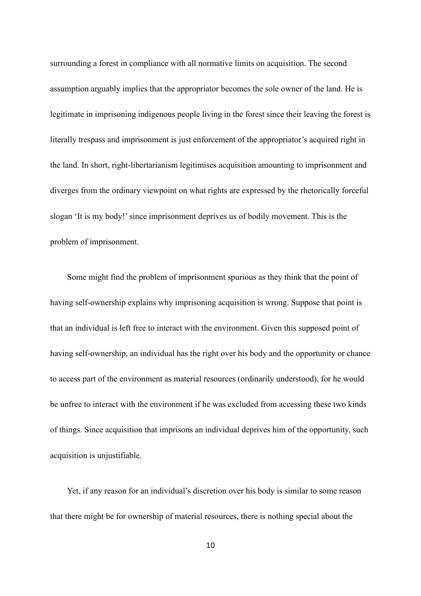surrounding a forest in compliance with all normative limits on acquisition. The second assumption arguably implies that the appropriator becomes the sole owner of the land. He is legitimate in imprisoning indigenous people living in the forest since their leaving the forest is literally trespass and imprisonment is just enforcement of the appropriator's acquired right in the land. In short, right-libertarianism legitimises acquisition amounting to imprisonment and diverges from the ordinary viewpoint on what rights are expressed by the rhetorically forceful slogan 'It is my body!' since imprisonment deprives us of bodily movement. This is the problem of imprisonment.

Some might find the problem of imprisonment spurious as they think that the point of having self-ownership explains why imprisoning acquisition is wrong. Suppose that point is that an individual is left free to interact with the environment. Given this supposed point of having self-ownership, an individual has the right over his body and the opportunity or chance to access part of the environment as material resources (ordinarily understood), for he would be unfree to interact with the environment if he was excluded from accessing these two kinds of things. Since acquisition that imprisons an individual deprives him of the opportunity, such acquisition is unjustifiable.

Yet, if any reason for an individual's discretion over his body is similar to some reason that there might be for ownership of material resources, there is nothing special about the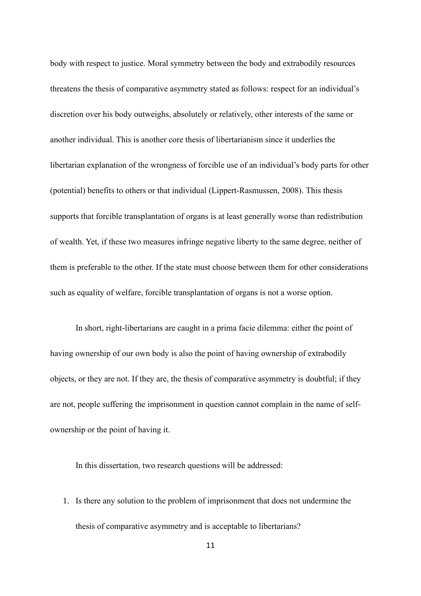body with respect to justice. Moral symmetry between the body and extrabodily resources threatens the thesis of comparative asymmetry stated as follows: respect for an individual's discretion over his body outweighs, absolutely or relatively, other interests of the same or another individual. This is another core thesis of libertarianism since it underlies the libertarian explanation of the wrongness of forcible use of an individual's body parts for other (potential) benefits to others or that individual (Lippert-Rasmussen, 2008). This thesis supports that forcible transplantation of organs is at least generally worse than redistribution of wealth. Yet, if these two measures infringe negative liberty to the same degree, neither of them is preferable to the other. If the state must choose between them for other considerations such as equality of welfare, forcible transplantation of organs is not a worse option.

In short, right-libertarians are caught in a prima facie dilemma: either the point of having ownership of our own body is also the point of having ownership of extrabodily objects, or they are not. If they are, the thesis of comparative asymmetry is doubtful; if they are not, people suffering the imprisonment in question cannot complain in the name of selfownership or the point of having it.

In this dissertation, two research questions will be addressed:

1. Is there any solution to the problem of imprisonment that does not undermine the thesis of comparative asymmetry and is acceptable to libertarians?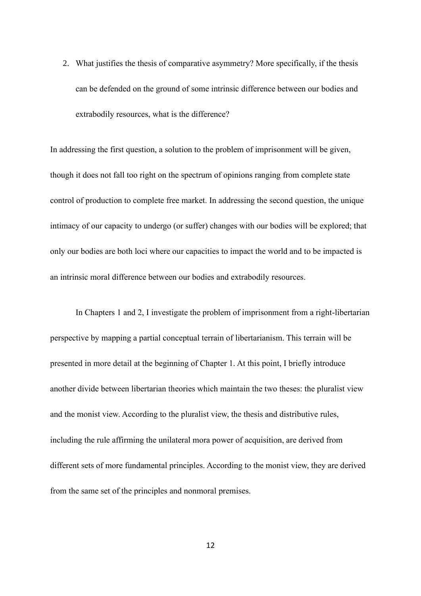2. What justifies the thesis of comparative asymmetry? More specifically, if the thesis can be defended on the ground of some intrinsic difference between our bodies and extrabodily resources, what is the difference?

In addressing the first question, a solution to the problem of imprisonment will be given, though it does not fall too right on the spectrum of opinions ranging from complete state control of production to complete free market. In addressing the second question, the unique intimacy of our capacity to undergo (or suffer) changes with our bodies will be explored; that only our bodies are both loci where our capacities to impact the world and to be impacted is an intrinsic moral difference between our bodies and extrabodily resources.

In Chapters 1 and 2, I investigate the problem of imprisonment from a right-libertarian perspective by mapping a partial conceptual terrain of libertarianism. This terrain will be presented in more detail at the beginning of Chapter 1. At this point, I briefly introduce another divide between libertarian theories which maintain the two theses: the pluralist view and the monist view. According to the pluralist view, the thesis and distributive rules, including the rule affirming the unilateral mora power of acquisition, are derived from different sets of more fundamental principles. According to the monist view, they are derived from the same set of the principles and nonmoral premises.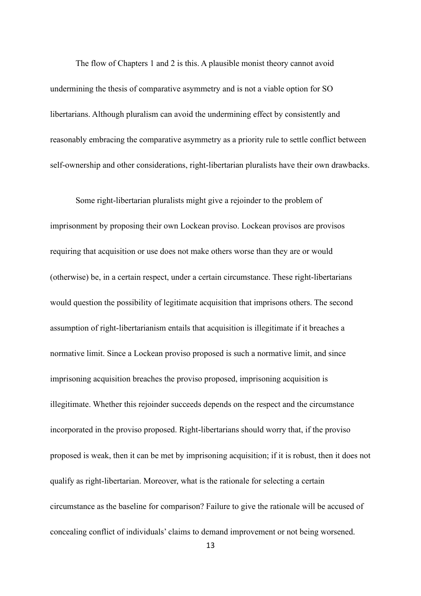The flow of Chapters 1 and 2 is this. A plausible monist theory cannot avoid undermining the thesis of comparative asymmetry and is not a viable option for SO libertarians. Although pluralism can avoid the undermining effect by consistently and reasonably embracing the comparative asymmetry as a priority rule to settle conflict between self-ownership and other considerations, right-libertarian pluralists have their own drawbacks.

Some right-libertarian pluralists might give a rejoinder to the problem of imprisonment by proposing their own Lockean proviso. Lockean provisos are provisos requiring that acquisition or use does not make others worse than they are or would (otherwise) be, in a certain respect, under a certain circumstance. These right-libertarians would question the possibility of legitimate acquisition that imprisons others. The second assumption of right-libertarianism entails that acquisition is illegitimate if it breaches a normative limit. Since a Lockean proviso proposed is such a normative limit, and since imprisoning acquisition breaches the proviso proposed, imprisoning acquisition is illegitimate. Whether this rejoinder succeeds depends on the respect and the circumstance incorporated in the proviso proposed. Right-libertarians should worry that, if the proviso proposed is weak, then it can be met by imprisoning acquisition; if it is robust, then it does not qualify as right-libertarian. Moreover, what is the rationale for selecting a certain circumstance as the baseline for comparison? Failure to give the rationale will be accused of concealing conflict of individuals' claims to demand improvement or not being worsened.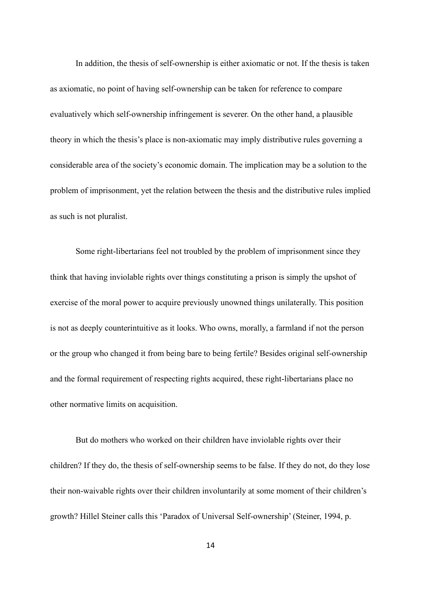In addition, the thesis of self-ownership is either axiomatic or not. If the thesis is taken as axiomatic, no point of having self-ownership can be taken for reference to compare evaluatively which self-ownership infringement is severer. On the other hand, a plausible theory in which the thesis's place is non-axiomatic may imply distributive rules governing a considerable area of the society's economic domain. The implication may be a solution to the problem of imprisonment, yet the relation between the thesis and the distributive rules implied as such is not pluralist.

Some right-libertarians feel not troubled by the problem of imprisonment since they think that having inviolable rights over things constituting a prison is simply the upshot of exercise of the moral power to acquire previously unowned things unilaterally. This position is not as deeply counterintuitive as it looks. Who owns, morally, a farmland if not the person or the group who changed it from being bare to being fertile? Besides original self-ownership and the formal requirement of respecting rights acquired, these right-libertarians place no other normative limits on acquisition.

But do mothers who worked on their children have inviolable rights over their children? If they do, the thesis of self-ownership seems to be false. If they do not, do they lose their non-waivable rights over their children involuntarily at some moment of their children's growth? Hillel Steiner calls this 'Paradox of Universal Self-ownership' (Steiner, 1994, p.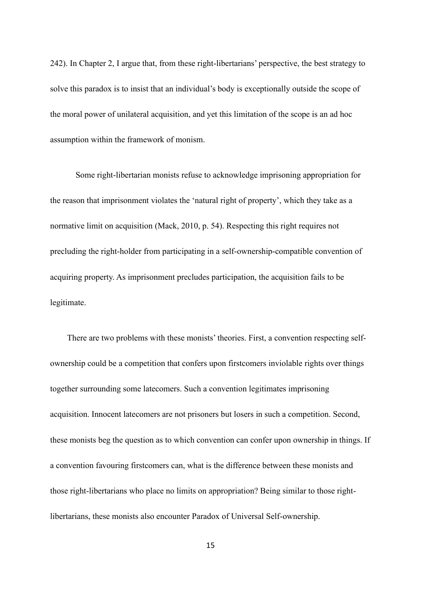242). In Chapter 2, I argue that, from these right-libertarians' perspective, the best strategy to solve this paradox is to insist that an individual's body is exceptionally outside the scope of the moral power of unilateral acquisition, and yet this limitation of the scope is an ad hoc assumption within the framework of monism.

Some right-libertarian monists refuse to acknowledge imprisoning appropriation for the reason that imprisonment violates the 'natural right of property', which they take as a normative limit on acquisition (Mack, 2010, p. 54). Respecting this right requires not precluding the right-holder from participating in a self-ownership-compatible convention of acquiring property. As imprisonment precludes participation, the acquisition fails to be legitimate.

There are two problems with these monists' theories. First, a convention respecting selfownership could be a competition that confers upon firstcomers inviolable rights over things together surrounding some latecomers. Such a convention legitimates imprisoning acquisition. Innocent latecomers are not prisoners but losers in such a competition. Second, these monists beg the question as to which convention can confer upon ownership in things. If a convention favouring firstcomers can, what is the difference between these monists and those right-libertarians who place no limits on appropriation? Being similar to those rightlibertarians, these monists also encounter Paradox of Universal Self-ownership.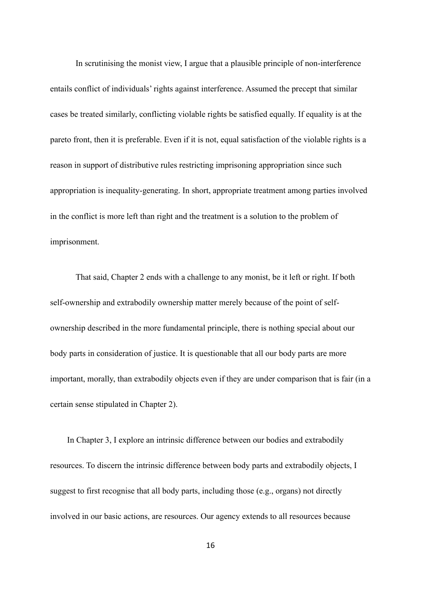In scrutinising the monist view, I argue that a plausible principle of non-interference entails conflict of individuals' rights against interference. Assumed the precept that similar cases be treated similarly, conflicting violable rights be satisfied equally. If equality is at the pareto front, then it is preferable. Even if it is not, equal satisfaction of the violable rights is a reason in support of distributive rules restricting imprisoning appropriation since such appropriation is inequality-generating. In short, appropriate treatment among parties involved in the conflict is more left than right and the treatment is a solution to the problem of imprisonment.

That said, Chapter 2 ends with a challenge to any monist, be it left or right. If both self-ownership and extrabodily ownership matter merely because of the point of selfownership described in the more fundamental principle, there is nothing special about our body parts in consideration of justice. It is questionable that all our body parts are more important, morally, than extrabodily objects even if they are under comparison that is fair (in a certain sense stipulated in Chapter 2).

In Chapter 3, I explore an intrinsic difference between our bodies and extrabodily resources. To discern the intrinsic difference between body parts and extrabodily objects, I suggest to first recognise that all body parts, including those (e.g., organs) not directly involved in our basic actions, are resources. Our agency extends to all resources because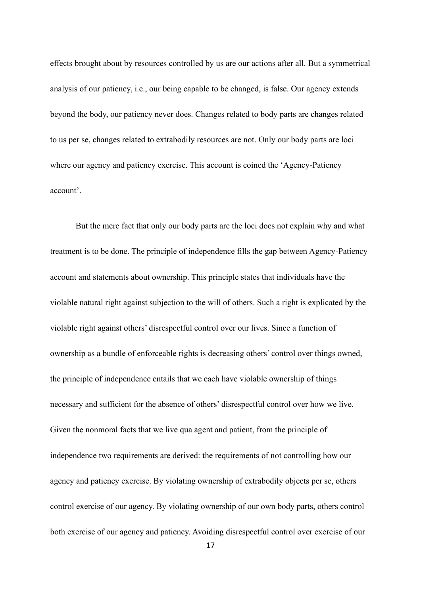effects brought about by resources controlled by us are our actions after all. But a symmetrical analysis of our patiency, i.e., our being capable to be changed, is false. Our agency extends beyond the body, our patiency never does. Changes related to body parts are changes related to us per se, changes related to extrabodily resources are not. Only our body parts are loci where our agency and patiency exercise. This account is coined the 'Agency-Patiency account'.

But the mere fact that only our body parts are the loci does not explain why and what treatment is to be done. The principle of independence fills the gap between Agency-Patiency account and statements about ownership. This principle states that individuals have the violable natural right against subjection to the will of others. Such a right is explicated by the violable right against others' disrespectful control over our lives. Since a function of ownership as a bundle of enforceable rights is decreasing others' control over things owned, the principle of independence entails that we each have violable ownership of things necessary and sufficient for the absence of others' disrespectful control over how we live. Given the nonmoral facts that we live qua agent and patient, from the principle of independence two requirements are derived: the requirements of not controlling how our agency and patiency exercise. By violating ownership of extrabodily objects per se, others control exercise of our agency. By violating ownership of our own body parts, others control both exercise of our agency and patiency. Avoiding disrespectful control over exercise of our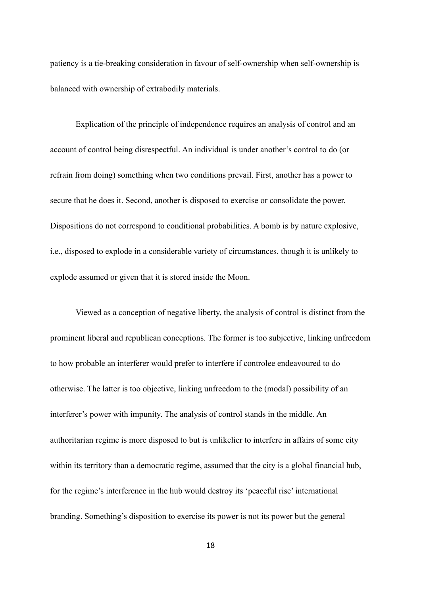patiency is a tie-breaking consideration in favour of self-ownership when self-ownership is balanced with ownership of extrabodily materials.

Explication of the principle of independence requires an analysis of control and an account of control being disrespectful. An individual is under another's control to do (or refrain from doing) something when two conditions prevail. First, another has a power to secure that he does it. Second, another is disposed to exercise or consolidate the power. Dispositions do not correspond to conditional probabilities. A bomb is by nature explosive, i.e., disposed to explode in a considerable variety of circumstances, though it is unlikely to explode assumed or given that it is stored inside the Moon.

Viewed as a conception of negative liberty, the analysis of control is distinct from the prominent liberal and republican conceptions. The former is too subjective, linking unfreedom to how probable an interferer would prefer to interfere if controlee endeavoured to do otherwise. The latter is too objective, linking unfreedom to the (modal) possibility of an interferer's power with impunity. The analysis of control stands in the middle. An authoritarian regime is more disposed to but is unlikelier to interfere in affairs of some city within its territory than a democratic regime, assumed that the city is a global financial hub, for the regime's interference in the hub would destroy its 'peaceful rise' international branding. Something's disposition to exercise its power is not its power but the general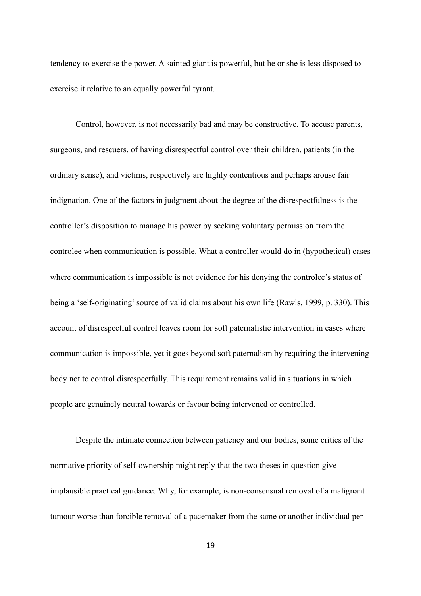tendency to exercise the power. A sainted giant is powerful, but he or she is less disposed to exercise it relative to an equally powerful tyrant.

Control, however, is not necessarily bad and may be constructive. To accuse parents, surgeons, and rescuers, of having disrespectful control over their children, patients (in the ordinary sense), and victims, respectively are highly contentious and perhaps arouse fair indignation. One of the factors in judgment about the degree of the disrespectfulness is the controller's disposition to manage his power by seeking voluntary permission from the controlee when communication is possible. What a controller would do in (hypothetical) cases where communication is impossible is not evidence for his denying the controlee's status of being a 'self-originating' source of valid claims about his own life (Rawls, 1999, p. 330). This account of disrespectful control leaves room for soft paternalistic intervention in cases where communication is impossible, yet it goes beyond soft paternalism by requiring the intervening body not to control disrespectfully. This requirement remains valid in situations in which people are genuinely neutral towards or favour being intervened or controlled.

Despite the intimate connection between patiency and our bodies, some critics of the normative priority of self-ownership might reply that the two theses in question give implausible practical guidance. Why, for example, is non-consensual removal of a malignant tumour worse than forcible removal of a pacemaker from the same or another individual per